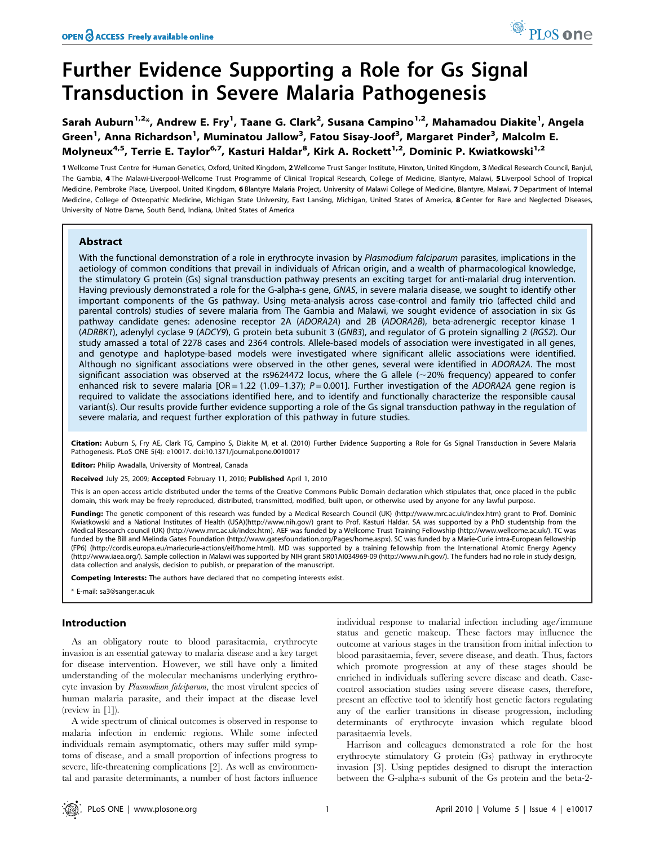# Further Evidence Supporting a Role for Gs Signal Transduction in Severe Malaria Pathogenesis

Sarah Auburn<sup>1,2</sup>\*, Andrew E. Fry<sup>1</sup>, Taane G. Clark<sup>2</sup>, Susana Campino<sup>1,2</sup>, Mahamadou Diakite<sup>1</sup>, Angela Green<sup>1</sup>, Anna Richardson<sup>1</sup>, Muminatou Jallow<sup>3</sup>, Fatou Sisay-Joof<sup>3</sup>, Margaret Pinder<sup>3</sup>, Malcolm E. Molyneux<sup>4,5</sup>, Terrie E. Taylor<sup>6,7</sup>, Kasturi Haldar<sup>8</sup>, Kirk A. Rockett<sup>1,2</sup>, Dominic P. Kwiatkowski<sup>1,2</sup>

1 Wellcome Trust Centre for Human Genetics, Oxford, United Kingdom, 2 Wellcome Trust Sanger Institute, Hinxton, United Kingdom, 3 Medical Research Council, Banjul, The Gambia, 4 The Malawi-Liverpool-Wellcome Trust Programme of Clinical Tropical Research, College of Medicine, Blantyre, Malawi, 5 Liverpool School of Tropical Medicine, Pembroke Place, Liverpool, United Kingdom, 6 Blantyre Malaria Project, University of Malawi College of Medicine, Blantyre, Malawi, 7 Department of Internal Medicine, College of Osteopathic Medicine, Michigan State University, East Lansing, Michigan, United States of America, 8 Center for Rare and Neglected Diseases, University of Notre Dame, South Bend, Indiana, United States of America

# Abstract

With the functional demonstration of a role in erythrocyte invasion by Plasmodium falciparum parasites, implications in the aetiology of common conditions that prevail in individuals of African origin, and a wealth of pharmacological knowledge, the stimulatory G protein (Gs) signal transduction pathway presents an exciting target for anti-malarial drug intervention. Having previously demonstrated a role for the G-alpha-s gene, GNAS, in severe malaria disease, we sought to identify other important components of the Gs pathway. Using meta-analysis across case-control and family trio (affected child and parental controls) studies of severe malaria from The Gambia and Malawi, we sought evidence of association in six Gs pathway candidate genes: adenosine receptor 2A (ADORA2A) and 2B (ADORA2B), beta-adrenergic receptor kinase 1 (ADRBK1), adenylyl cyclase 9 (ADCY9), G protein beta subunit 3 (GNB3), and regulator of G protein signalling 2 (RGS2). Our study amassed a total of 2278 cases and 2364 controls. Allele-based models of association were investigated in all genes, and genotype and haplotype-based models were investigated where significant allelic associations were identified. Although no significant associations were observed in the other genes, several were identified in ADORA2A. The most significant association was observed at the rs9624472 locus, where the G allele ( $\sim$ 20% frequency) appeared to confer enhanced risk to severe malaria [OR = 1.22 (1.09-1.37);  $P = 0.001$ ]. Further investigation of the ADORA2A gene region is required to validate the associations identified here, and to identify and functionally characterize the responsible causal variant(s). Our results provide further evidence supporting a role of the Gs signal transduction pathway in the regulation of severe malaria, and request further exploration of this pathway in future studies.

Citation: Auburn S, Fry AE, Clark TG, Campino S, Diakite M, et al. (2010) Further Evidence Supporting a Role for Gs Signal Transduction in Severe Malaria Pathogenesis. PLoS ONE 5(4): e10017. doi:10.1371/journal.pone.0010017

Editor: Philip Awadalla, University of Montreal, Canada

Received July 25, 2009; Accepted February 11, 2010; Published April 1, 2010

This is an open-access article distributed under the terms of the Creative Commons Public Domain declaration which stipulates that, once placed in the public domain, this work may be freely reproduced, distributed, transmitted, modified, built upon, or otherwise used by anyone for any lawful purpose.

Funding: The genetic component of this research was funded by a Medical Research Council (UK) (http://www.mrc.ac.uk/index.htm) grant to Prof. Dominic Kwiatkowski and a National Institutes of Health (USA)(http://www.nih.gov/) grant to Prof. Kasturi Haldar. SA was supported by a PhD studentship from the Medical Research council (UK) (http://www.mrc.ac.uk/index.htm). AEF was funded by a Wellcome Trust Training Fellowship (http://www.wellcome.ac.uk/). TC was funded by the Bill and Melinda Gates Foundation (http://www.gatesfoundation.org/Pages/home.aspx). SC was funded by a Marie-Curie intra-European fellowship (FP6) (http://cordis.europa.eu/mariecurie-actions/eif/home.html). MD was supported by a training fellowship from the International Atomic Energy Agency (http://www.iaea.org/). Sample collection in Malawi was supported by NIH grant 5R01AI034969-09 (http://www.nih.gov/). The funders had no role in study design, data collection and analysis, decision to publish, or preparation of the manuscript.

Competing Interests: The authors have declared that no competing interests exist.

\* E-mail: sa3@sanger.ac.uk

# Introduction

As an obligatory route to blood parasitaemia, erythrocyte invasion is an essential gateway to malaria disease and a key target for disease intervention. However, we still have only a limited understanding of the molecular mechanisms underlying erythrocyte invasion by Plasmodium falciparum, the most virulent species of human malaria parasite, and their impact at the disease level (review in [1]).

A wide spectrum of clinical outcomes is observed in response to malaria infection in endemic regions. While some infected individuals remain asymptomatic, others may suffer mild symptoms of disease, and a small proportion of infections progress to severe, life-threatening complications [2]. As well as environmental and parasite determinants, a number of host factors influence individual response to malarial infection including age/immune status and genetic makeup. These factors may influence the outcome at various stages in the transition from initial infection to blood parasitaemia, fever, severe disease, and death. Thus, factors which promote progression at any of these stages should be enriched in individuals suffering severe disease and death. Casecontrol association studies using severe disease cases, therefore, present an effective tool to identify host genetic factors regulating any of the earlier transitions in disease progression, including determinants of erythrocyte invasion which regulate blood parasitaemia levels.

Harrison and colleagues demonstrated a role for the host erythrocyte stimulatory G protein (Gs) pathway in erythrocyte invasion [3]. Using peptides designed to disrupt the interaction between the G-alpha-s subunit of the Gs protein and the beta-2-

PLoS one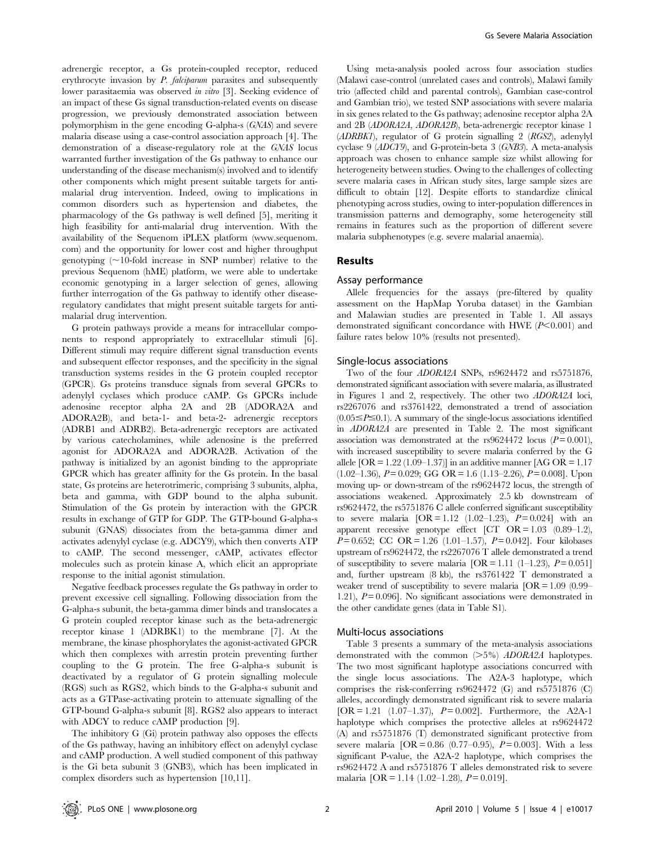adrenergic receptor, a Gs protein-coupled receptor, reduced erythrocyte invasion by *P. falciparum* parasites and subsequently lower parasitaemia was observed in vitro [3]. Seeking evidence of an impact of these Gs signal transduction-related events on disease progression, we previously demonstrated association between polymorphism in the gene encoding G-alpha-s (GNAS) and severe malaria disease using a case-control association approach [4]. The demonstration of a disease-regulatory role at the GNAS locus warranted further investigation of the Gs pathway to enhance our understanding of the disease mechanism(s) involved and to identify other components which might present suitable targets for antimalarial drug intervention. Indeed, owing to implications in common disorders such as hypertension and diabetes, the pharmacology of the Gs pathway is well defined [5], meriting it high feasibility for anti-malarial drug intervention. With the availability of the Sequenom iPLEX platform (www.sequenom. com) and the opportunity for lower cost and higher throughput genotyping  $(\sim]10$ -fold increase in SNP number) relative to the previous Sequenom (hME) platform, we were able to undertake economic genotyping in a larger selection of genes, allowing further interrogation of the Gs pathway to identify other diseaseregulatory candidates that might present suitable targets for antimalarial drug intervention.

G protein pathways provide a means for intracellular components to respond appropriately to extracellular stimuli [6]. Different stimuli may require different signal transduction events and subsequent effector responses, and the specificity in the signal transduction systems resides in the G protein coupled receptor (GPCR). Gs proteins transduce signals from several GPCRs to adenylyl cyclases which produce cAMP. Gs GPCRs include adenosine receptor alpha 2A and 2B (ADORA2A and ADORA2B), and beta-1- and beta-2- adrenergic receptors (ADRB1 and ADRB2). Beta-adrenergic receptors are activated by various catecholamines, while adenosine is the preferred agonist for ADORA2A and ADORA2B. Activation of the pathway is initialized by an agonist binding to the appropriate GPCR which has greater affinity for the Gs protein. In the basal state, Gs proteins are heterotrimeric, comprising 3 subunits, alpha, beta and gamma, with GDP bound to the alpha subunit. Stimulation of the Gs protein by interaction with the GPCR results in exchange of GTP for GDP. The GTP-bound G-alpha-s subunit (GNAS) dissociates from the beta-gamma dimer and activates adenylyl cyclase (e.g. ADCY9), which then converts ATP to cAMP. The second messenger, cAMP, activates effector molecules such as protein kinase A, which elicit an appropriate response to the initial agonist stimulation.

Negative feedback processes regulate the Gs pathway in order to prevent excessive cell signalling. Following dissociation from the G-alpha-s subunit, the beta-gamma dimer binds and translocates a G protein coupled receptor kinase such as the beta-adrenergic receptor kinase 1 (ADRBK1) to the membrane [7]. At the membrane, the kinase phosphorylates the agonist-activated GPCR which then complexes with arrestin protein preventing further coupling to the G protein. The free G-alpha-s subunit is deactivated by a regulator of G protein signalling molecule (RGS) such as RGS2, which binds to the G-alpha-s subunit and acts as a GTPase-activating protein to attenuate signalling of the GTP-bound G-alpha-s subunit [8]. RGS2 also appears to interact with ADCY to reduce cAMP production [9].

The inhibitory G (Gi) protein pathway also opposes the effects of the Gs pathway, having an inhibitory effect on adenylyl cyclase and cAMP production. A well studied component of this pathway is the Gi beta subunit 3 (GNB3), which has been implicated in complex disorders such as hypertension [10,11].

Using meta-analysis pooled across four association studies (Malawi case-control (unrelated cases and controls), Malawi family trio (affected child and parental controls), Gambian case-control and Gambian trio), we tested SNP associations with severe malaria in six genes related to the Gs pathway; adenosine receptor alpha 2A and 2B (ADORA2A, ADORA2B), beta-adrenergic receptor kinase 1 (ADRBK1), regulator of G protein signalling 2 (RGS2), adenylyl cyclase 9 (ADCY9), and G-protein-beta 3 (GNB3). A meta-analysis approach was chosen to enhance sample size whilst allowing for heterogeneity between studies. Owing to the challenges of collecting severe malaria cases in African study sites, large sample sizes are difficult to obtain [12]. Despite efforts to standardize clinical phenotyping across studies, owing to inter-population differences in transmission patterns and demography, some heterogeneity still remains in features such as the proportion of different severe malaria subphenotypes (e.g. severe malarial anaemia).

# Results

## Assay performance

Allele frequencies for the assays (pre-filtered by quality assessment on the HapMap Yoruba dataset) in the Gambian and Malawian studies are presented in Table 1. All assays demonstrated significant concordance with HWE  $(P<0.001)$  and failure rates below 10% (results not presented).

#### Single-locus associations

Two of the four ADORA2A SNPs, rs9624472 and rs5751876, demonstrated significant association with severe malaria, as illustrated in Figures 1 and 2, respectively. The other two ADORA2A loci, rs2267076 and rs3761422, demonstrated a trend of association  $(0.05 \leq P \leq 0.1)$ . A summary of the single-locus associations identified in ADORA2A are presented in Table 2. The most significant association was demonstrated at the rs9624472 locus  $(P= 0.001)$ , with increased susceptibility to severe malaria conferred by the G allele  $[OR = 1.22 (1.09 - 1.37)]$  in an additive manner  $[AG OR = 1.17]$  $(1.02-1.36)$ ,  $P= 0.029$ ; GG OR = 1.6  $(1.13-2.26)$ ,  $P= 0.008$ ]. Upon moving up- or down-stream of the rs9624472 locus, the strength of associations weakened. Approximately 2.5 kb downstream of rs9624472, the rs5751876 C allele conferred significant susceptibility to severe malaria  $[OR = 1.12 (1.02 - 1.23), P = 0.024]$  with an apparent recessive genotype effect [CT OR =  $1.03$  (0.89– $1.2$ ),  $P= 0.652$ ; CC OR = 1.26 (1.01–1.57),  $P= 0.042$ . Four kilobases upstream of rs9624472, the rs2267076 T allele demonstrated a trend of susceptibility to severe malaria  $[OR = 1.11 (1-1.23), P = 0.051]$ and, further upstream (8 kb), the rs3761422 T demonstrated a weaker trend of susceptibility to severe malaria  $[OR = 1.09 \ (0.99-$ 1.21),  $P= 0.096$ . No significant associations were demonstrated in the other candidate genes (data in Table S1).

#### Multi-locus associations

Table 3 presents a summary of the meta-analysis associations demonstrated with the common  $(>=5\%)$  ADORA2A haplotypes. The two most significant haplotype associations concurred with the single locus associations. The A2A-3 haplotype, which comprises the risk-conferring rs9624472 (G) and rs5751876 (C) alleles, accordingly demonstrated significant risk to severe malaria  $[OR = 1.21 (1.07-1.37), P = 0.002]$ . Furthermore, the A2A-1 haplotype which comprises the protective alleles at  $rs9624472$ (A) and rs5751876 (T) demonstrated significant protective from severe malaria  $[OR = 0.86 (0.77 - 0.95), P = 0.003]$ . With a less significant P-value, the A2A-2 haplotype, which comprises the rs9624472 A and rs5751876 T alleles demonstrated risk to severe malaria  $[OR = 1.14 (1.02 - 1.28), P = 0.019]$ .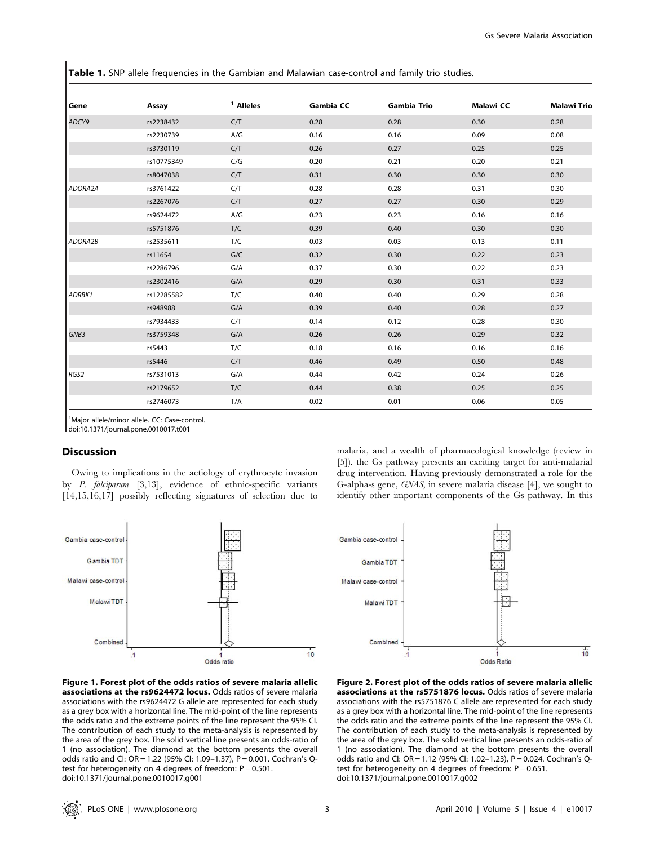Table 1. SNP allele frequencies in the Gambian and Malawian case-control and family trio studies.

| Gene    | Assay      | <sup>1</sup> Alleles | <b>Gambia CC</b> | <b>Gambia Trio</b> | <b>Malawi CC</b> | <b>Malawi Trio</b> |
|---------|------------|----------------------|------------------|--------------------|------------------|--------------------|
| ADCY9   | rs2238432  | C/T                  | 0.28             | 0.28               | 0.30             | 0.28               |
|         | rs2230739  | A/G                  | 0.16             | 0.16               | 0.09             | 0.08               |
|         | rs3730119  | C/T                  | 0.26             | 0.27               | 0.25             | 0.25               |
|         | rs10775349 | C/G                  | 0.20             | 0.21               | 0.20             | 0.21               |
|         | rs8047038  | C/T                  | 0.31             | 0.30               | 0.30             | 0.30               |
| ADORA2A | rs3761422  | C/T                  | 0.28             | 0.28               | 0.31             | 0.30               |
|         | rs2267076  | C/T                  | 0.27             | 0.27               | 0.30             | 0.29               |
|         | rs9624472  | A/G                  | 0.23             | 0.23               | 0.16             | 0.16               |
|         | rs5751876  | T/C                  | 0.39             | 0.40               | 0.30             | 0.30               |
| ADORA2B | rs2535611  | T/C                  | 0.03             | 0.03               | 0.13             | 0.11               |
|         | rs11654    | G/C                  | 0.32             | 0.30               | 0.22             | 0.23               |
|         | rs2286796  | G/A                  | 0.37             | 0.30               | 0.22             | 0.23               |
|         | rs2302416  | G/A                  | 0.29             | 0.30               | 0.31             | 0.33               |
| ADRBK1  | rs12285582 | T/C                  | 0.40             | 0.40               | 0.29             | 0.28               |
|         | rs948988   | G/A                  | 0.39             | 0.40               | 0.28             | 0.27               |
|         | rs7934433  | C/T                  | 0.14             | 0.12               | 0.28             | 0.30               |
| GNB3    | rs3759348  | G/A                  | 0.26             | 0.26               | 0.29             | 0.32               |
|         | rs5443     | T/C                  | 0.18             | 0.16               | 0.16             | 0.16               |
|         | rs5446     | C/T                  | 0.46             | 0.49               | 0.50             | 0.48               |
| RGS2    | rs7531013  | G/A                  | 0.44             | 0.42               | 0.24             | 0.26               |
|         | rs2179652  | T/C                  | 0.44             | 0.38               | 0.25             | 0.25               |
|         | rs2746073  | T/A                  | 0.02             | 0.01               | 0.06             | 0.05               |

<sup>1</sup>Major allele/minor allele. CC: Case-control.

doi:10.1371/journal.pone.0010017.t001

#### Discussion

Owing to implications in the aetiology of erythrocyte invasion by P. falciparum [3,13], evidence of ethnic-specific variants [14,15,16,17] possibly reflecting signatures of selection due to malaria, and a wealth of pharmacological knowledge (review in [5]), the Gs pathway presents an exciting target for anti-malarial drug intervention. Having previously demonstrated a role for the G-alpha-s gene, GNAS, in severe malaria disease [4], we sought to identify other important components of the Gs pathway. In this





Figure 1. Forest plot of the odds ratios of severe malaria allelic associations at the rs9624472 locus. Odds ratios of severe malaria associations with the rs9624472 G allele are represented for each study as a grey box with a horizontal line. The mid-point of the line represents the odds ratio and the extreme points of the line represent the 95% CI. The contribution of each study to the meta-analysis is represented by the area of the grey box. The solid vertical line presents an odds-ratio of 1 (no association). The diamond at the bottom presents the overall odds ratio and CI: OR = 1.22 (95% CI: 1.09–1.37), P = 0.001. Cochran's Qtest for heterogeneity on 4 degrees of freedom:  $P = 0.501$ . doi:10.1371/journal.pone.0010017.g001

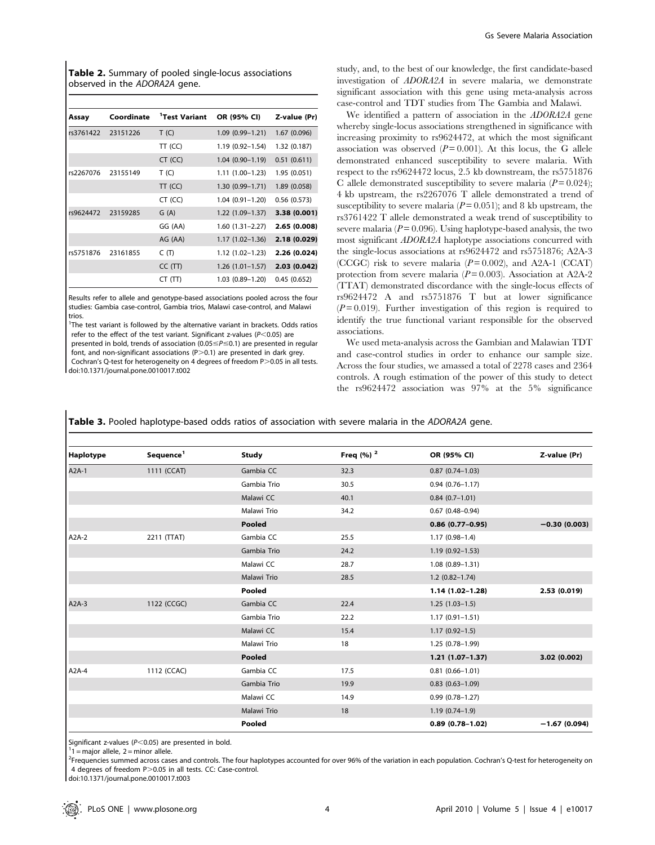Table 2. Summary of pooled single-locus associations observed in the ADORA2A gene.

| Assay     | Coordinate | <sup>1</sup> Test Variant | OR (95% CI)         | Z-value (Pr) |
|-----------|------------|---------------------------|---------------------|--------------|
| rs3761422 | 23151226   | T(G)                      | $1.09(0.99 - 1.21)$ | 1.67 (0.096) |
|           |            | $TT$ (CC)                 | 1.19 (0.92-1.54)    | 1.32 (0.187) |
|           |            | $CT$ (CC)                 | $1.04(0.90 - 1.19)$ | 0.51(0.611)  |
| rs2267076 | 23155149   | T(G)                      | $1.11(1.00-1.23)$   | 1.95 (0.051) |
|           |            | $TT$ (CC)                 | $1.30(0.99 - 1.71)$ | 1.89 (0.058) |
|           |            | CT (CC)                   | $1.04(0.91 - 1.20)$ | 0.56(0.573)  |
| rs9624472 | 23159285   | G(A)                      | $1.22(1.09-1.37)$   | 3.38 (0.001) |
|           |            | GG (AA)                   | $1.60(1.31 - 2.27)$ | 2.65 (0.008) |
|           |            | AG (AA)                   | $1.17(1.02 - 1.36)$ | 2.18 (0.029) |
| rs5751876 | 23161855   | C(T)                      | $1.12(1.02 - 1.23)$ | 2.26 (0.024) |
|           |            | CC(TT)                    | $1.26(1.01-1.57)$   | 2.03(0.042)  |
|           |            | CT(TT)                    | $1.03(0.89 - 1.20)$ | 0.45(0.652)  |

Results refer to allele and genotype-based associations pooled across the four studies: Gambia case-control, Gambia trios, Malawi case-control, and Malawi trios.

<sup>1</sup>The test variant is followed by the alternative variant in brackets. Odds ratios refer to the effect of the test variant. Significant z-values ( $P$ <0.05) are presented in bold, trends of association (0.05 $\leq$ P $\leq$ 0.1) are presented in regular font, and non-significant associations  $(P>0.1)$  are presented in dark grey. Cochran's Q-test for heterogeneity on 4 degrees of freedom P>0.05 in all tests. doi:10.1371/journal.pone.0010017.t002

study, and, to the best of our knowledge, the first candidate-based investigation of ADORA2A in severe malaria, we demonstrate significant association with this gene using meta-analysis across case-control and TDT studies from The Gambia and Malawi.

We identified a pattern of association in the ADORA2A gene whereby single-locus associations strengthened in significance with increasing proximity to rs9624472, at which the most significant association was observed  $(P = 0.001)$ . At this locus, the G allele demonstrated enhanced susceptibility to severe malaria. With respect to the rs9624472 locus, 2.5 kb downstream, the rs5751876 C allele demonstrated susceptibility to severe malaria  $(P = 0.024)$ ; 4 kb upstream, the rs2267076 T allele demonstrated a trend of susceptibility to severe malaria ( $P = 0.051$ ); and 8 kb upstream, the rs3761422 T allele demonstrated a weak trend of susceptibility to severe malaria ( $P = 0.096$ ). Using haplotype-based analysis, the two most significant ADORA2A haplotype associations concurred with the single-locus associations at rs9624472 and rs5751876; A2A-3 (CCGC) risk to severe malaria  $(P=0.002)$ , and A2A-1 (CCAT) protection from severe malaria ( $P = 0.003$ ). Association at A2A-2 (TTAT) demonstrated discordance with the single-locus effects of rs9624472 A and rs5751876 T but at lower significance  $(P=0.019)$ . Further investigation of this region is required to identify the true functional variant responsible for the observed associations.

We used meta-analysis across the Gambian and Malawian TDT and case-control studies in order to enhance our sample size. Across the four studies, we amassed a total of 2278 cases and 2364 controls. A rough estimation of the power of this study to detect the rs9624472 association was 97% at the 5% significance

Table 3. Pooled haplotype-based odds ratios of association with severe malaria in the ADORA2A gene.

| Haplotype | Sequence <sup>1</sup> | <b>Study</b> | Freq $(%)2$ | OR (95% CI)            | Z-value (Pr)   |
|-----------|-----------------------|--------------|-------------|------------------------|----------------|
| $A2A-1$   | 1111 (CCAT)           | Gambia CC    | 32.3        | $0.87(0.74 - 1.03)$    |                |
|           |                       | Gambia Trio  | 30.5        | $0.94(0.76 - 1.17)$    |                |
|           |                       | Malawi CC    | 40.1        | $0.84(0.7-1.01)$       |                |
|           |                       | Malawi Trio  | 34.2        | $0.67$ $(0.48 - 0.94)$ |                |
|           |                       | Pooled       |             | $0.86(0.77-0.95)$      | $-0.30(0.003)$ |
| A2A-2     | 2211 (TTAT)           | Gambia CC    | 25.5        | $1.17(0.98-1.4)$       |                |
|           |                       | Gambia Trio  | 24.2        | $1.19(0.92 - 1.53)$    |                |
|           |                       | Malawi CC    | 28.7        | $1.08(0.89 - 1.31)$    |                |
|           |                       | Malawi Trio  | 28.5        | $1.2(0.82 - 1.74)$     |                |
|           |                       | Pooled       |             | $1.14(1.02 - 1.28)$    | 2.53 (0.019)   |
| $A2A-3$   | 1122 (CCGC)           | Gambia CC    | 22.4        | $1.25(1.03-1.5)$       |                |
|           |                       | Gambia Trio  | 22.2        | $1.17(0.91 - 1.51)$    |                |
|           |                       | Malawi CC    | 15.4        | $1.17(0.92 - 1.5)$     |                |
|           |                       | Malawi Trio  | 18          | 1.25 (0.78-1.99)       |                |
|           |                       | Pooled       |             | $1.21(1.07-1.37)$      | 3.02 (0.002)   |
| $A2A-4$   | 1112 (CCAC)           | Gambia CC    | 17.5        | $0.81(0.66 - 1.01)$    |                |
|           |                       | Gambia Trio  | 19.9        | $0.83$ $(0.63 - 1.09)$ |                |
|           |                       | Malawi CC    | 14.9        | $0.99(0.78 - 1.27)$    |                |
|           |                       | Malawi Trio  | 18          | $1.19(0.74-1.9)$       |                |
|           |                       | Pooled       |             | $0.89(0.78 - 1.02)$    | $-1.67(0.094)$ |

Significant z-values ( $P$ <0.05) are presented in bold.

 $1$  = major allele, 2 = minor allele.

<sup>2</sup>Frequencies summed across cases and controls. The four haplotypes accounted for over 96% of the variation in each population. Cochran's Q-test for heterogeneity on 4 degrees of freedom P > 0.05 in all tests. CC: Case-control.

doi:10.1371/journal.pone.0010017.t003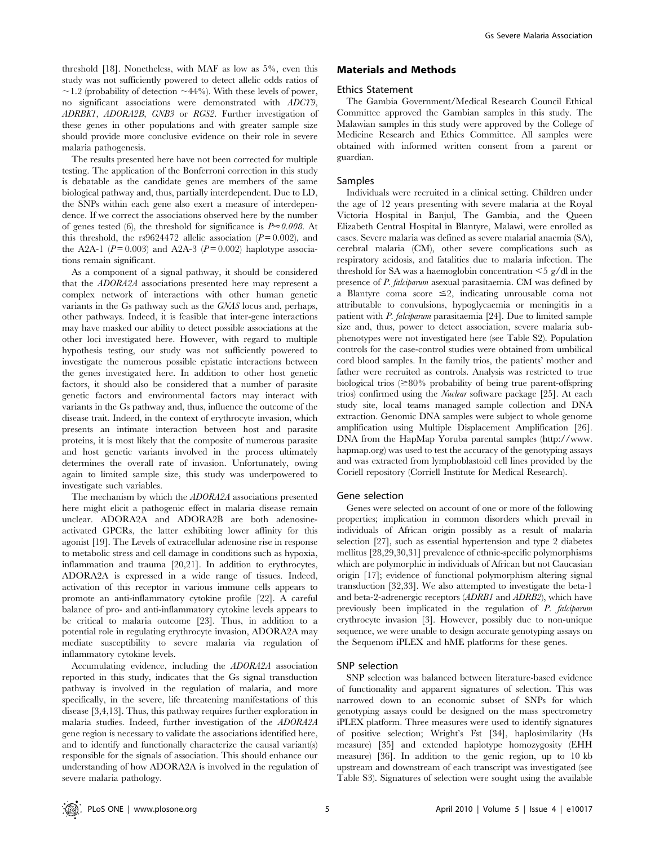threshold [18]. Nonetheless, with MAF as low as 5%, even this study was not sufficiently powered to detect allelic odds ratios of  $\sim$ 1.2 (probability of detection  $\sim$ 44%). With these levels of power, no significant associations were demonstrated with ADCY9, ADRBK1, ADORA2B, GNB3 or RGS2. Further investigation of these genes in other populations and with greater sample size should provide more conclusive evidence on their role in severe malaria pathogenesis.

The results presented here have not been corrected for multiple testing. The application of the Bonferroni correction in this study is debatable as the candidate genes are members of the same biological pathway and, thus, partially interdependent. Due to LD, the SNPs within each gene also exert a measure of interdependence. If we correct the associations observed here by the number of genes tested (6), the threshold for significance is  $P \approx 0.008$ . At this threshold, the rs9624472 allelic association  $(P=0.002)$ , and the A2A-1 ( $P = 0.003$ ) and A2A-3 ( $P = 0.002$ ) haplotype associations remain significant.

As a component of a signal pathway, it should be considered that the ADORA2A associations presented here may represent a complex network of interactions with other human genetic variants in the Gs pathway such as the GNAS locus and, perhaps, other pathways. Indeed, it is feasible that inter-gene interactions may have masked our ability to detect possible associations at the other loci investigated here. However, with regard to multiple hypothesis testing, our study was not sufficiently powered to investigate the numerous possible epistatic interactions between the genes investigated here. In addition to other host genetic factors, it should also be considered that a number of parasite genetic factors and environmental factors may interact with variants in the Gs pathway and, thus, influence the outcome of the disease trait. Indeed, in the context of erythrocyte invasion, which presents an intimate interaction between host and parasite proteins, it is most likely that the composite of numerous parasite and host genetic variants involved in the process ultimately determines the overall rate of invasion. Unfortunately, owing again to limited sample size, this study was underpowered to investigate such variables.

The mechanism by which the ADORA2A associations presented here might elicit a pathogenic effect in malaria disease remain unclear. ADORA2A and ADORA2B are both adenosineactivated GPCRs, the latter exhibiting lower affinity for this agonist [19]. The Levels of extracellular adenosine rise in response to metabolic stress and cell damage in conditions such as hypoxia, inflammation and trauma [20,21]. In addition to erythrocytes, ADORA2A is expressed in a wide range of tissues. Indeed, activation of this receptor in various immune cells appears to promote an anti-inflammatory cytokine profile [22]. A careful balance of pro- and anti-inflammatory cytokine levels appears to be critical to malaria outcome [23]. Thus, in addition to a potential role in regulating erythrocyte invasion, ADORA2A may mediate susceptibility to severe malaria via regulation of inflammatory cytokine levels.

Accumulating evidence, including the ADORA2A association reported in this study, indicates that the Gs signal transduction pathway is involved in the regulation of malaria, and more specifically, in the severe, life threatening manifestations of this disease [3,4,13]. Thus, this pathway requires further exploration in malaria studies. Indeed, further investigation of the ADORA2A gene region is necessary to validate the associations identified here, and to identify and functionally characterize the causal variant(s) responsible for the signals of association. This should enhance our understanding of how ADORA2A is involved in the regulation of severe malaria pathology.

# Materials and Methods

#### Ethics Statement

The Gambia Government/Medical Research Council Ethical Committee approved the Gambian samples in this study. The Malawian samples in this study were approved by the College of Medicine Research and Ethics Committee. All samples were obtained with informed written consent from a parent or guardian.

# Samples

Individuals were recruited in a clinical setting. Children under the age of 12 years presenting with severe malaria at the Royal Victoria Hospital in Banjul, The Gambia, and the Queen Elizabeth Central Hospital in Blantyre, Malawi, were enrolled as cases. Severe malaria was defined as severe malarial anaemia (SA), cerebral malaria (CM), other severe complications such as respiratory acidosis, and fatalities due to malaria infection. The threshold for SA was a haemoglobin concentration  $\leq$  5 g/dl in the presence of P. falciparum asexual parasitaemia. CM was defined by a Blantyre coma score  $\leq 2$ , indicating unrousable coma not attributable to convulsions, hypoglycaemia or meningitis in a patient with P. falciparum parasitaemia [24]. Due to limited sample size and, thus, power to detect association, severe malaria subphenotypes were not investigated here (see Table S2). Population controls for the case-control studies were obtained from umbilical cord blood samples. In the family trios, the patients' mother and father were recruited as controls. Analysis was restricted to true biological trios  $\approx 80\%$  probability of being true parent-offspring trios) confirmed using the Nuclear software package [25]. At each study site, local teams managed sample collection and DNA extraction. Genomic DNA samples were subject to whole genome amplification using Multiple Displacement Amplification [26]. DNA from the HapMap Yoruba parental samples (http://www. hapmap.org) was used to test the accuracy of the genotyping assays and was extracted from lymphoblastoid cell lines provided by the Coriell repository (Corriell Institute for Medical Research).

#### Gene selection

Genes were selected on account of one or more of the following properties; implication in common disorders which prevail in individuals of African origin possibly as a result of malaria selection [27], such as essential hypertension and type 2 diabetes mellitus [28,29,30,31] prevalence of ethnic-specific polymorphisms which are polymorphic in individuals of African but not Caucasian origin [17]; evidence of functional polymorphism altering signal transduction [32,33]. We also attempted to investigate the beta-1 and beta-2-adrenergic receptors (ADRB1 and ADRB2), which have previously been implicated in the regulation of P. falciparum erythrocyte invasion [3]. However, possibly due to non-unique sequence, we were unable to design accurate genotyping assays on the Sequenom iPLEX and hME platforms for these genes.

#### SNP selection

SNP selection was balanced between literature-based evidence of functionality and apparent signatures of selection. This was narrowed down to an economic subset of SNPs for which genotyping assays could be designed on the mass spectrometry iPLEX platform. Three measures were used to identify signatures of positive selection; Wright's Fst [34], haplosimilarity (Hs measure) [35] and extended haplotype homozygosity (EHH measure) [36]. In addition to the genic region, up to 10 kb upstream and downstream of each transcript was investigated (see Table S3). Signatures of selection were sought using the available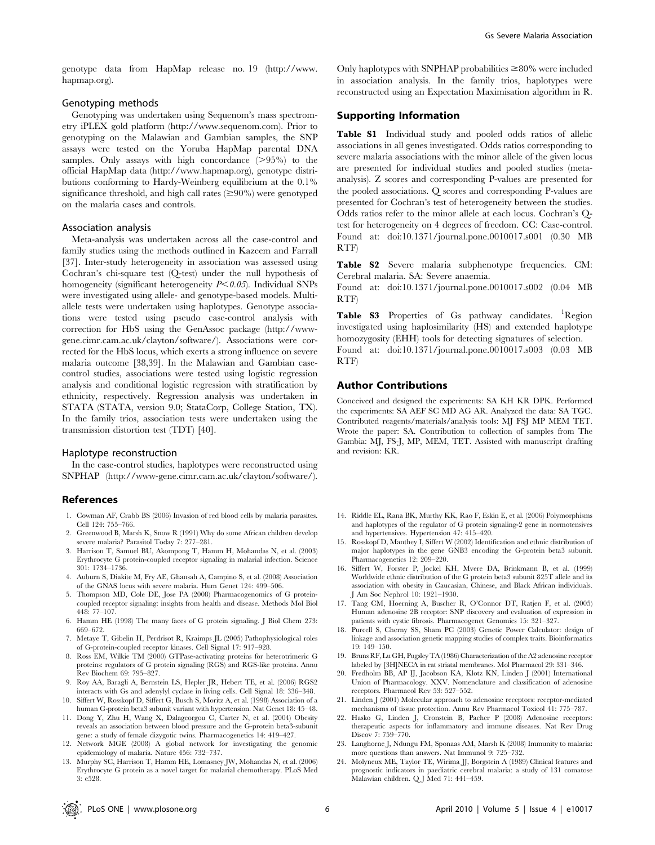genotype data from HapMap release no. 19 (http://www. hapmap.org).

# Genotyping methods

Genotyping was undertaken using Sequenom's mass spectrometry iPLEX gold platform (http://www.sequenom.com). Prior to genotyping on the Malawian and Gambian samples, the SNP assays were tested on the Yoruba HapMap parental DNA samples. Only assays with high concordance  $(>95\%)$  to the official HapMap data (http://www.hapmap.org), genotype distributions conforming to Hardy-Weinberg equilibrium at the 0.1% significance threshold, and high call rates  $(\geq 90\%)$  were genotyped on the malaria cases and controls.

#### Association analysis

Meta-analysis was undertaken across all the case-control and family studies using the methods outlined in Kazeem and Farrall [37]. Inter-study heterogeneity in association was assessed using Cochran's chi-square test (Q-test) under the null hypothesis of homogeneity (significant heterogeneity  $P<0.05$ ). Individual SNPs were investigated using allele- and genotype-based models. Multiallele tests were undertaken using haplotypes. Genotype associations were tested using pseudo case-control analysis with correction for HbS using the GenAssoc package (http://wwwgene.cimr.cam.ac.uk/clayton/software/). Associations were corrected for the HbS locus, which exerts a strong influence on severe malaria outcome [38,39]. In the Malawian and Gambian casecontrol studies, associations were tested using logistic regression analysis and conditional logistic regression with stratification by ethnicity, respectively. Regression analysis was undertaken in STATA (STATA, version 9.0; StataCorp, College Station, TX). In the family trios, association tests were undertaken using the transmission distortion test (TDT) [40].

# Haplotype reconstruction

In the case-control studies, haplotypes were reconstructed using SNPHAP (http://www-gene.cimr.cam.ac.uk/clayton/software/).

## References

- 1. Cowman AF, Crabb BS (2006) Invasion of red blood cells by malaria parasites. Cell 124: 755–766.
- 2. Greenwood B, Marsh K, Snow R (1991) Why do some African children develop severe malaria? Parasitol Today 7: 277–281.
- 3. Harrison T, Samuel BU, Akompong T, Hamm H, Mohandas N, et al. (2003) Erythrocyte G protein-coupled receptor signaling in malarial infection. Science 301: 1734–1736.
- 4. Auburn S, Diakite M, Fry AE, Ghansah A, Campino S, et al. (2008) Association of the GNAS locus with severe malaria. Hum Genet 124: 499–506.
- 5. Thompson MD, Cole DE, Jose PA (2008) Pharmacogenomics of G proteincoupled receptor signaling: insights from health and disease. Methods Mol Biol 448: 77–107.
- 6. Hamm HE (1998) The many faces of G protein signaling. J Biol Chem 273: 669–672.
- 7. Metaye T, Gibelin H, Perdrisot R, Kraimps JL (2005) Pathophysiological roles of G-protein-coupled receptor kinases. Cell Signal 17: 917–928.
- 8. Ross EM, Wilkie TM (2000) GTPase-activating proteins for heterotrimeric G proteins: regulators of G protein signaling (RGS) and RGS-like proteins. Annu Rev Biochem 69: 795–827.
- 9. Roy AA, Baragli A, Bernstein LS, Hepler JR, Hebert TE, et al. (2006) RGS2 interacts with Gs and adenylyl cyclase in living cells. Cell Signal 18: 336–348.
- 10. Siffert W, Rosskopf D, Siffert G, Busch S, Moritz A, et al. (1998) Association of a human G-protein beta3 subunit variant with hypertension. Nat Genet 18: 45–48.
- 11. Dong Y, Zhu H, Wang X, Dalageorgou C, Carter N, et al. (2004) Obesity reveals an association between blood pressure and the G-protein beta3-subunit gene: a study of female dizygotic twins. Pharmacogenetics 14: 419–427.
- 12. Network MGE (2008) A global network for investigating the genomic epidemiology of malaria. Nature 456: 732–737.
- 13. Murphy SC, Harrison T, Hamm HE, Lomasney JW, Mohandas N, et al. (2006) Erythrocyte G protein as a novel target for malarial chemotherapy. PLoS Med 3: e528.

Only haplotypes with SNPHAP probabilities  $\geq 80\%$  were included in association analysis. In the family trios, haplotypes were reconstructed using an Expectation Maximisation algorithm in R.

# Supporting Information

Table S1 Individual study and pooled odds ratios of allelic associations in all genes investigated. Odds ratios corresponding to severe malaria associations with the minor allele of the given locus are presented for individual studies and pooled studies (metaanalysis). Z scores and corresponding P-values are presented for the pooled associations. Q scores and corresponding P-values are presented for Cochran's test of heterogeneity between the studies. Odds ratios refer to the minor allele at each locus. Cochran's Qtest for heterogeneity on 4 degrees of freedom. CC: Case-control. Found at: doi:10.1371/journal.pone.0010017.s001 (0.30 MB RTF)

Table S2 Severe malaria subphenotype frequencies. CM: Cerebral malaria. SA: Severe anaemia.

Found at: doi:10.1371/journal.pone.0010017.s002 (0.04 MB RTF)

Table S3 Properties of Gs pathway candidates. <sup>1</sup>Region investigated using haplosimilarity (HS) and extended haplotype homozygosity (EHH) tools for detecting signatures of selection.

Found at: doi:10.1371/journal.pone.0010017.s003 (0.03 MB RTF)

## Author Contributions

Conceived and designed the experiments: SA KH KR DPK. Performed the experiments: SA AEF SC MD AG AR. Analyzed the data: SA TGC. Contributed reagents/materials/analysis tools: MJ FSJ MP MEM TET. Wrote the paper: SA. Contribution to collection of samples from The Gambia: MJ, FS-J, MP, MEM, TET. Assisted with manuscript drafting and revision: KR.

- 14. Riddle EL, Rana BK, Murthy KK, Rao F, Eskin E, et al. (2006) Polymorphisms and haplotypes of the regulator of G protein signaling-2 gene in normotensives and hypertensives. Hypertension 47: 415–420.
- 15. Rosskopf D, Manthey I, Siffert W (2002) Identification and ethnic distribution of major haplotypes in the gene GNB3 encoding the G-protein beta3 subunit. Pharmacogenetics 12: 209–220.
- 16. Siffert W, Forster P, Jockel KH, Mvere DA, Brinkmann B, et al. (1999) Worldwide ethnic distribution of the G protein beta3 subunit 825T allele and its association with obesity in Caucasian, Chinese, and Black African individuals. J Am Soc Nephrol 10: 1921–1930.
- 17. Tang CM, Hoerning A, Buscher R, O'Connor DT, Ratjen F, et al. (2005) Human adenosine 2B receptor: SNP discovery and evaluation of expression in patients with cystic fibrosis. Pharmacogenet Genomics 15: 321–327.
- 18. Purcell S, Cherny SS, Sham PC (2003) Genetic Power Calculator: design of linkage and association genetic mapping studies of complex traits. Bioinformatics 19: 149–150.
- 19. Bruns RF, Lu GH, Pugsley TA (1986) Characterization of the A2 adenosine receptor labeled by [3H]NECA in rat striatal membranes. Mol Pharmacol 29: 331–346.
- 20. Fredholm BB, AP IJ, Jacobson KA, Klotz KN, Linden J (2001) International Union of Pharmacology. XXV. Nomenclature and classification of adenosine receptors. Pharmacol Rev 53: 527–552.
- 21. Linden J (2001) Molecular approach to adenosine receptors: receptor-mediated mechanisms of tissue protection. Annu Rev Pharmacol Toxicol 41: 775–787.
- 22. Hasko G, Linden J, Cronstein B, Pacher P (2008) Adenosine receptors: therapeutic aspects for inflammatory and immune diseases. Nat Rev Drug Discov 7: 759–770.
- 23. Langhorne J, Ndungu FM, Sponaas AM, Marsh K (2008) Immunity to malaria: more questions than answers. Nat Immunol 9: 725–732.
- 24. Molyneux ME, Taylor TE, Wirima JJ, Borgstein A (1989) Clinical features and prognostic indicators in paediatric cerebral malaria: a study of 131 comatose Malawian children. Q J Med 71: 441–459.